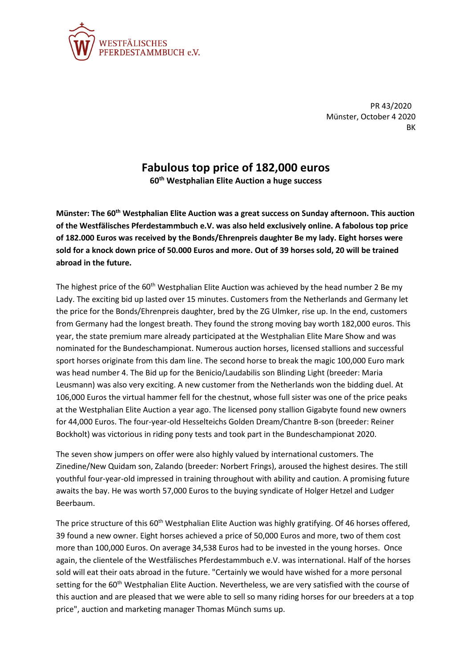

PR 43/2020 Münster, October 4 2020 BK

## **Fabulous top price of 182,000 euros**

**60th Westphalian Elite Auction a huge success**

**Münster: The 60th Westphalian Elite Auction was a great success on Sunday afternoon. This auction of the Westfälisches Pferdestammbuch e.V. was also held exclusively online. A fabolous top price of 182.000 Euros was received by the Bonds/Ehrenpreis daughter Be my lady. Eight horses were sold for a knock down price of 50.000 Euros and more. Out of 39 horses sold, 20 will be trained abroad in the future.**

The highest price of the  $60<sup>th</sup>$  Westphalian Elite Auction was achieved by the head number 2 Be my Lady. The exciting bid up lasted over 15 minutes. Customers from the Netherlands and Germany let the price for the Bonds/Ehrenpreis daughter, bred by the ZG Ulmker, rise up. In the end, customers from Germany had the longest breath. They found the strong moving bay worth 182,000 euros. This year, the state premium mare already participated at the Westphalian Elite Mare Show and was nominated for the Bundeschampionat. Numerous auction horses, licensed stallions and successful sport horses originate from this dam line. The second horse to break the magic 100,000 Euro mark was head number 4. The Bid up for the Benicio/Laudabilis son Blinding Light (breeder: Maria Leusmann) was also very exciting. A new customer from the Netherlands won the bidding duel. At 106,000 Euros the virtual hammer fell for the chestnut, whose full sister was one of the price peaks at the Westphalian Elite Auction a year ago. The licensed pony stallion Gigabyte found new owners for 44,000 Euros. The four-year-old Hesselteichs Golden Dream/Chantre B-son (breeder: Reiner Bockholt) was victorious in riding pony tests and took part in the Bundeschampionat 2020.

The seven show jumpers on offer were also highly valued by international customers. The Zinedine/New Quidam son, Zalando (breeder: Norbert Frings), aroused the highest desires. The still youthful four-year-old impressed in training throughout with ability and caution. A promising future awaits the bay. He was worth 57,000 Euros to the buying syndicate of Holger Hetzel and Ludger Beerbaum.

The price structure of this 60<sup>th</sup> Westphalian Elite Auction was highly gratifying. Of 46 horses offered, 39 found a new owner. Eight horses achieved a price of 50,000 Euros and more, two of them cost more than 100,000 Euros. On average 34,538 Euros had to be invested in the young horses. Once again, the clientele of the Westfälisches Pferdestammbuch e.V. was international. Half of the horses sold will eat their oats abroad in the future. "Certainly we would have wished for a more personal setting for the 60<sup>th</sup> Westphalian Elite Auction. Nevertheless, we are very satisfied with the course of this auction and are pleased that we were able to sell so many riding horses for our breeders at a top price", auction and marketing manager Thomas Münch sums up.